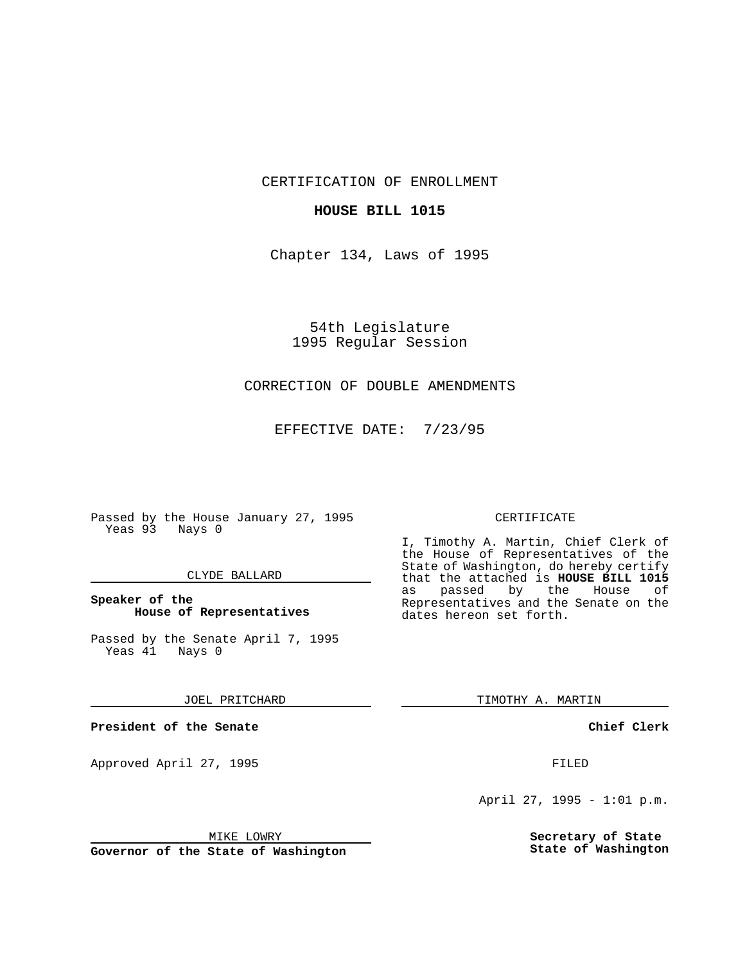CERTIFICATION OF ENROLLMENT

### **HOUSE BILL 1015**

Chapter 134, Laws of 1995

54th Legislature 1995 Regular Session

## CORRECTION OF DOUBLE AMENDMENTS

EFFECTIVE DATE: 7/23/95

Passed by the House January 27, 1995 Yeas 93 Nays 0

#### CLYDE BALLARD

## **Speaker of the House of Representatives**

Passed by the Senate April 7, 1995<br>Yeas 41 Nays 0 Yeas 41

#### JOEL PRITCHARD

**President of the Senate**

Approved April 27, 1995 FILED

## MIKE LOWRY

**Governor of the State of Washington**

#### CERTIFICATE

I, Timothy A. Martin, Chief Clerk of the House of Representatives of the State of Washington, do hereby certify that the attached is **HOUSE BILL 1015** as passed by the Representatives and the Senate on the dates hereon set forth.

TIMOTHY A. MARTIN

#### **Chief Clerk**

April 27, 1995 - 1:01 p.m.

**Secretary of State State of Washington**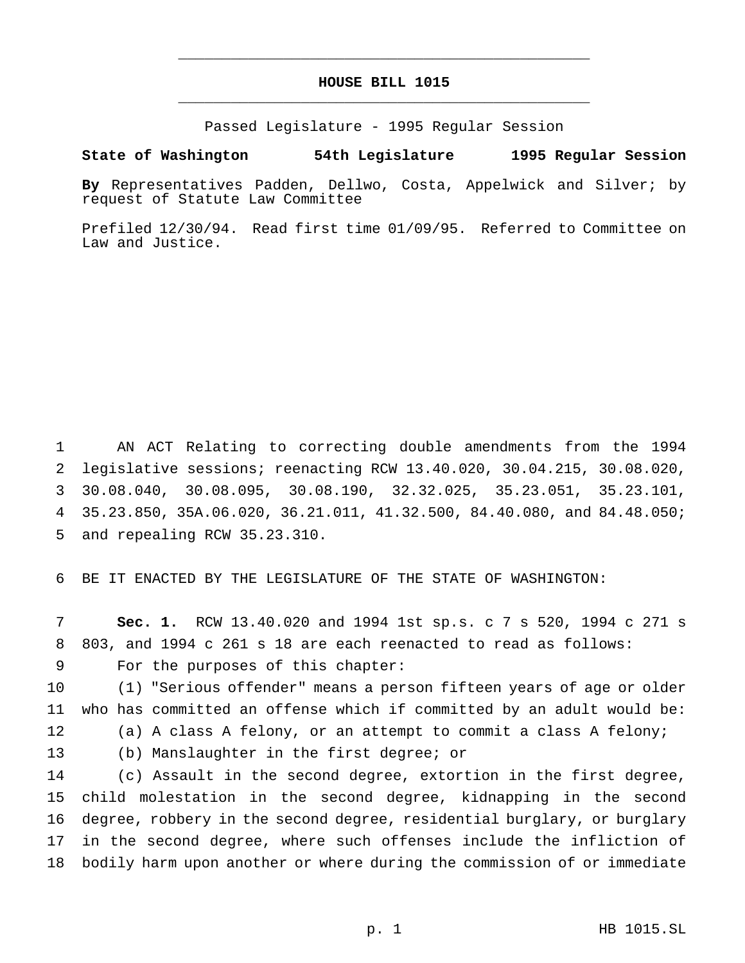# **HOUSE BILL 1015** \_\_\_\_\_\_\_\_\_\_\_\_\_\_\_\_\_\_\_\_\_\_\_\_\_\_\_\_\_\_\_\_\_\_\_\_\_\_\_\_\_\_\_\_\_\_\_

\_\_\_\_\_\_\_\_\_\_\_\_\_\_\_\_\_\_\_\_\_\_\_\_\_\_\_\_\_\_\_\_\_\_\_\_\_\_\_\_\_\_\_\_\_\_\_

Passed Legislature - 1995 Regular Session

## **State of Washington 54th Legislature 1995 Regular Session**

**By** Representatives Padden, Dellwo, Costa, Appelwick and Silver; by request of Statute Law Committee

Prefiled 12/30/94. Read first time 01/09/95. Referred to Committee on Law and Justice.

 AN ACT Relating to correcting double amendments from the 1994 legislative sessions; reenacting RCW 13.40.020, 30.04.215, 30.08.020, 30.08.040, 30.08.095, 30.08.190, 32.32.025, 35.23.051, 35.23.101, 35.23.850, 35A.06.020, 36.21.011, 41.32.500, 84.40.080, and 84.48.050; and repealing RCW 35.23.310.

BE IT ENACTED BY THE LEGISLATURE OF THE STATE OF WASHINGTON:

 **Sec. 1.** RCW 13.40.020 and 1994 1st sp.s.c7s 520, 1994 c 271 s 803, and 1994 c 261 s 18 are each reenacted to read as follows:

For the purposes of this chapter:

 (1) "Serious offender" means a person fifteen years of age or older who has committed an offense which if committed by an adult would be: (a) A class A felony, or an attempt to commit a class A felony;

(b) Manslaughter in the first degree; or

 (c) Assault in the second degree, extortion in the first degree, child molestation in the second degree, kidnapping in the second degree, robbery in the second degree, residential burglary, or burglary in the second degree, where such offenses include the infliction of bodily harm upon another or where during the commission of or immediate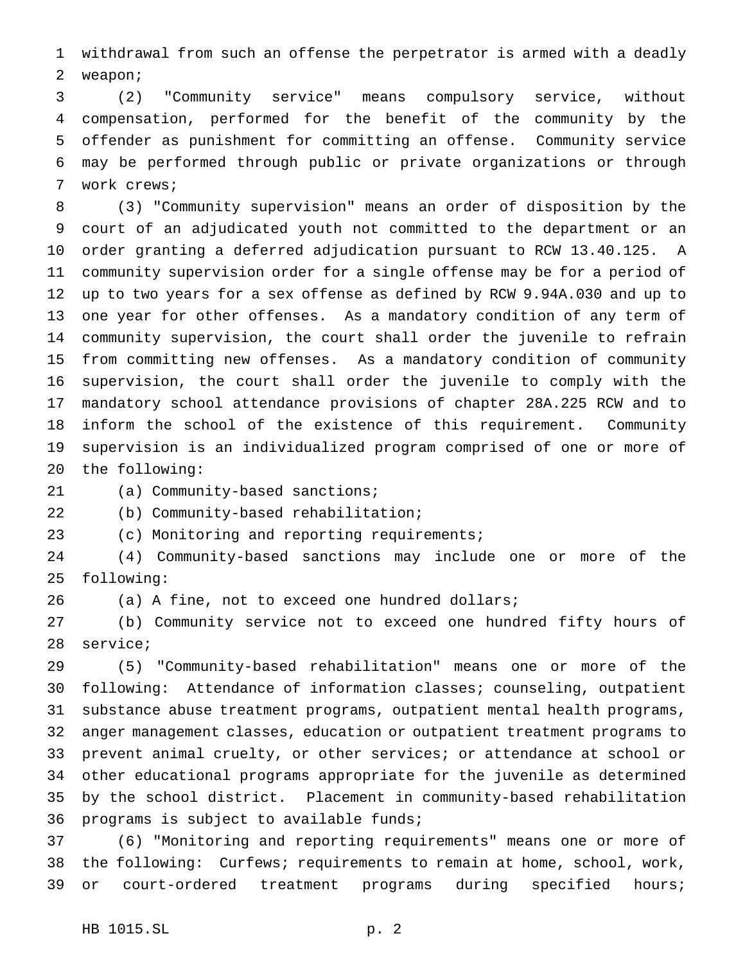withdrawal from such an offense the perpetrator is armed with a deadly weapon;

 (2) "Community service" means compulsory service, without compensation, performed for the benefit of the community by the offender as punishment for committing an offense. Community service may be performed through public or private organizations or through work crews;

 (3) "Community supervision" means an order of disposition by the court of an adjudicated youth not committed to the department or an order granting a deferred adjudication pursuant to RCW 13.40.125. A community supervision order for a single offense may be for a period of up to two years for a sex offense as defined by RCW 9.94A.030 and up to one year for other offenses. As a mandatory condition of any term of community supervision, the court shall order the juvenile to refrain from committing new offenses. As a mandatory condition of community supervision, the court shall order the juvenile to comply with the mandatory school attendance provisions of chapter 28A.225 RCW and to inform the school of the existence of this requirement. Community supervision is an individualized program comprised of one or more of the following:

(a) Community-based sanctions;

(b) Community-based rehabilitation;

(c) Monitoring and reporting requirements;

 (4) Community-based sanctions may include one or more of the following:

(a) A fine, not to exceed one hundred dollars;

 (b) Community service not to exceed one hundred fifty hours of service;

 (5) "Community-based rehabilitation" means one or more of the following: Attendance of information classes; counseling, outpatient substance abuse treatment programs, outpatient mental health programs, anger management classes, education or outpatient treatment programs to prevent animal cruelty, or other services; or attendance at school or other educational programs appropriate for the juvenile as determined by the school district. Placement in community-based rehabilitation programs is subject to available funds;

 (6) "Monitoring and reporting requirements" means one or more of the following: Curfews; requirements to remain at home, school, work, or court-ordered treatment programs during specified hours;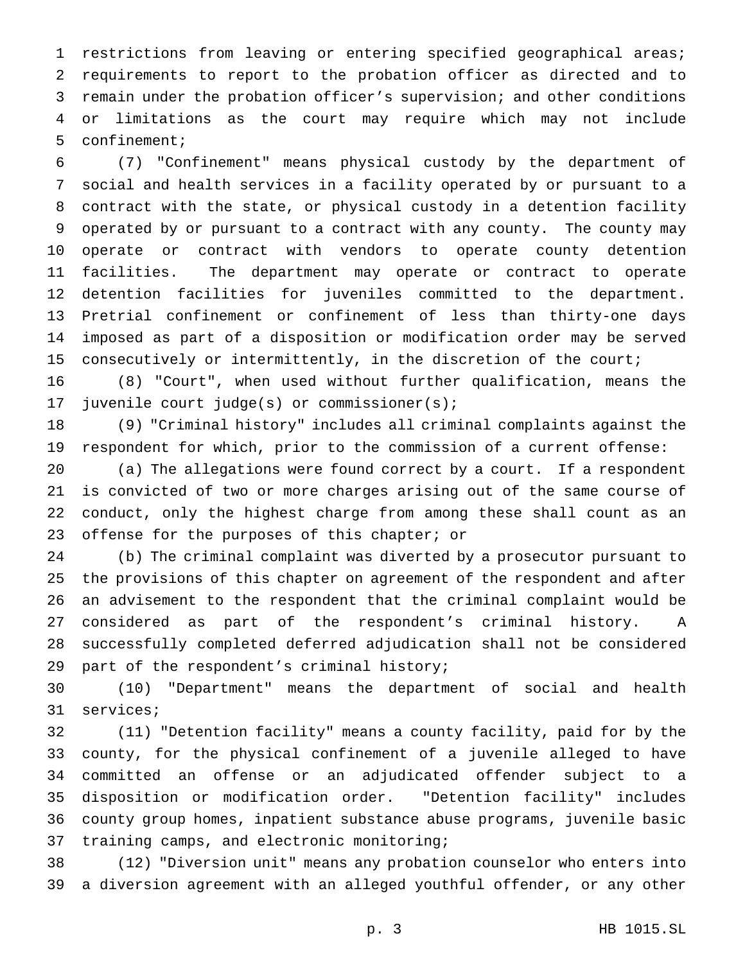restrictions from leaving or entering specified geographical areas; requirements to report to the probation officer as directed and to remain under the probation officer's supervision; and other conditions or limitations as the court may require which may not include confinement;

 (7) "Confinement" means physical custody by the department of social and health services in a facility operated by or pursuant to a contract with the state, or physical custody in a detention facility operated by or pursuant to a contract with any county. The county may operate or contract with vendors to operate county detention facilities. The department may operate or contract to operate detention facilities for juveniles committed to the department. Pretrial confinement or confinement of less than thirty-one days imposed as part of a disposition or modification order may be served consecutively or intermittently, in the discretion of the court;

 (8) "Court", when used without further qualification, means the juvenile court judge(s) or commissioner(s);

 (9) "Criminal history" includes all criminal complaints against the respondent for which, prior to the commission of a current offense:

 (a) The allegations were found correct by a court. If a respondent is convicted of two or more charges arising out of the same course of conduct, only the highest charge from among these shall count as an offense for the purposes of this chapter; or

 (b) The criminal complaint was diverted by a prosecutor pursuant to the provisions of this chapter on agreement of the respondent and after an advisement to the respondent that the criminal complaint would be considered as part of the respondent's criminal history. A successfully completed deferred adjudication shall not be considered part of the respondent's criminal history;

 (10) "Department" means the department of social and health services;

 (11) "Detention facility" means a county facility, paid for by the county, for the physical confinement of a juvenile alleged to have committed an offense or an adjudicated offender subject to a disposition or modification order. "Detention facility" includes county group homes, inpatient substance abuse programs, juvenile basic training camps, and electronic monitoring;

 (12) "Diversion unit" means any probation counselor who enters into a diversion agreement with an alleged youthful offender, or any other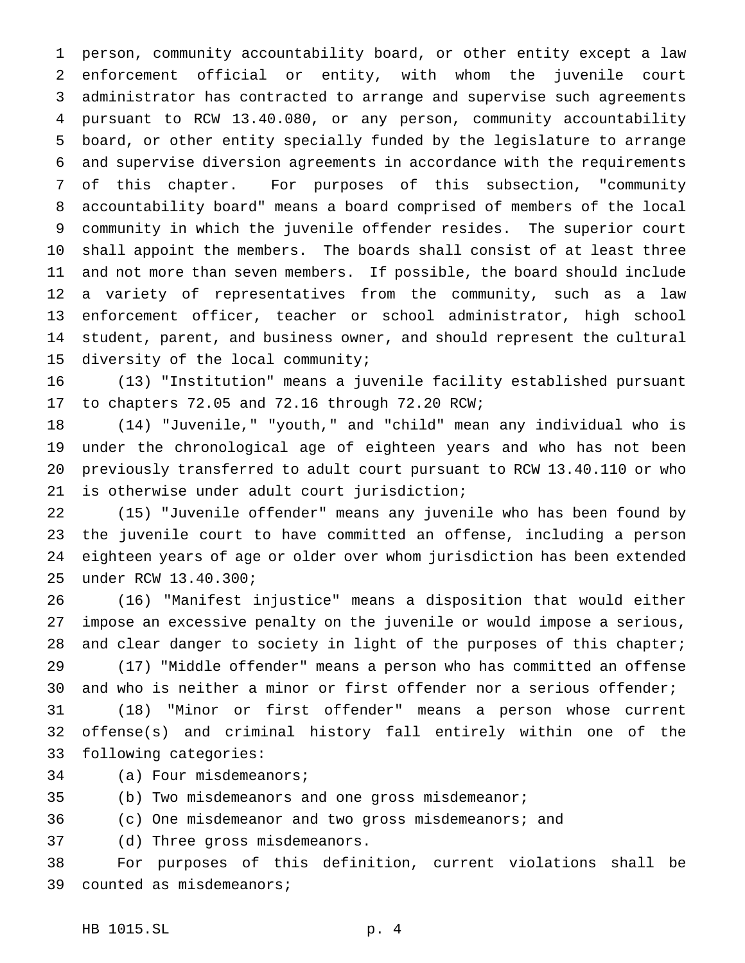person, community accountability board, or other entity except a law enforcement official or entity, with whom the juvenile court administrator has contracted to arrange and supervise such agreements pursuant to RCW 13.40.080, or any person, community accountability board, or other entity specially funded by the legislature to arrange and supervise diversion agreements in accordance with the requirements of this chapter. For purposes of this subsection, "community accountability board" means a board comprised of members of the local community in which the juvenile offender resides. The superior court shall appoint the members. The boards shall consist of at least three and not more than seven members. If possible, the board should include a variety of representatives from the community, such as a law enforcement officer, teacher or school administrator, high school student, parent, and business owner, and should represent the cultural diversity of the local community;

 (13) "Institution" means a juvenile facility established pursuant to chapters 72.05 and 72.16 through 72.20 RCW;

 (14) "Juvenile," "youth," and "child" mean any individual who is under the chronological age of eighteen years and who has not been previously transferred to adult court pursuant to RCW 13.40.110 or who is otherwise under adult court jurisdiction;

 (15) "Juvenile offender" means any juvenile who has been found by the juvenile court to have committed an offense, including a person eighteen years of age or older over whom jurisdiction has been extended under RCW 13.40.300;

 (16) "Manifest injustice" means a disposition that would either impose an excessive penalty on the juvenile or would impose a serious, 28 and clear danger to society in light of the purposes of this chapter; (17) "Middle offender" means a person who has committed an offense

 and who is neither a minor or first offender nor a serious offender; (18) "Minor or first offender" means a person whose current

 offense(s) and criminal history fall entirely within one of the following categories:

(a) Four misdemeanors;

(b) Two misdemeanors and one gross misdemeanor;

(c) One misdemeanor and two gross misdemeanors; and

(d) Three gross misdemeanors.

 For purposes of this definition, current violations shall be counted as misdemeanors;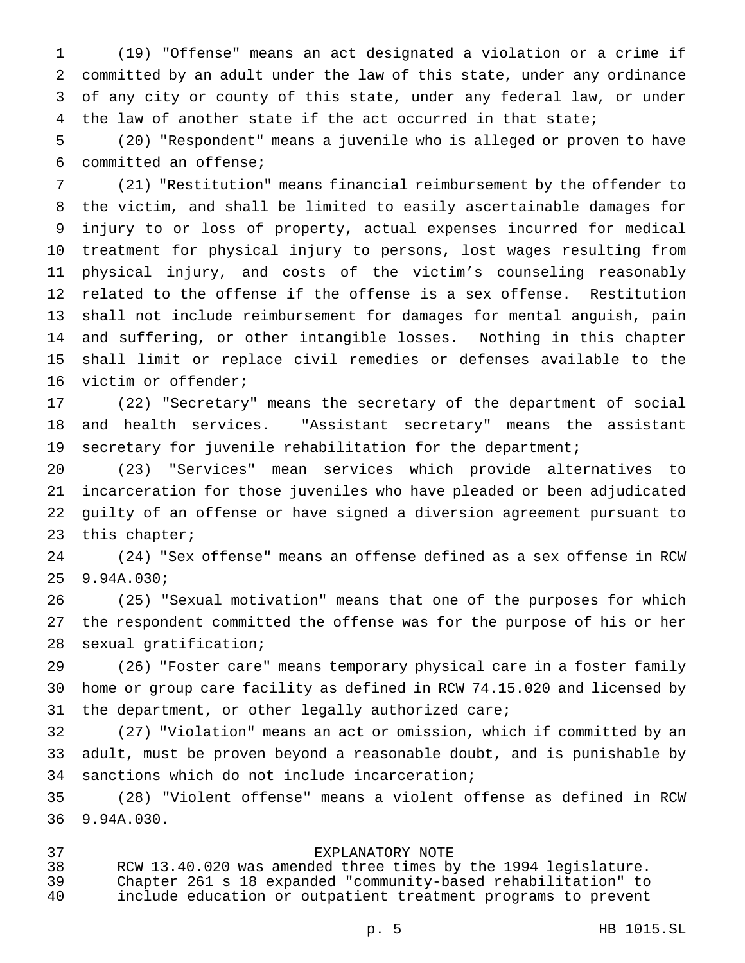(19) "Offense" means an act designated a violation or a crime if committed by an adult under the law of this state, under any ordinance of any city or county of this state, under any federal law, or under the law of another state if the act occurred in that state;

 (20) "Respondent" means a juvenile who is alleged or proven to have committed an offense;

 (21) "Restitution" means financial reimbursement by the offender to the victim, and shall be limited to easily ascertainable damages for injury to or loss of property, actual expenses incurred for medical treatment for physical injury to persons, lost wages resulting from physical injury, and costs of the victim's counseling reasonably related to the offense if the offense is a sex offense. Restitution shall not include reimbursement for damages for mental anguish, pain and suffering, or other intangible losses. Nothing in this chapter shall limit or replace civil remedies or defenses available to the victim or offender;

 (22) "Secretary" means the secretary of the department of social and health services. "Assistant secretary" means the assistant 19 secretary for juvenile rehabilitation for the department;

 (23) "Services" mean services which provide alternatives to incarceration for those juveniles who have pleaded or been adjudicated guilty of an offense or have signed a diversion agreement pursuant to this chapter;

 (24) "Sex offense" means an offense defined as a sex offense in RCW 9.94A.030;

 (25) "Sexual motivation" means that one of the purposes for which the respondent committed the offense was for the purpose of his or her sexual gratification;

 (26) "Foster care" means temporary physical care in a foster family home or group care facility as defined in RCW 74.15.020 and licensed by the department, or other legally authorized care;

 (27) "Violation" means an act or omission, which if committed by an adult, must be proven beyond a reasonable doubt, and is punishable by sanctions which do not include incarceration;

 (28) "Violent offense" means a violent offense as defined in RCW 9.94A.030.

# EXPLANATORY NOTE

 RCW 13.40.020 was amended three times by the 1994 legislature. Chapter 261 s 18 expanded "community-based rehabilitation" to include education or outpatient treatment programs to prevent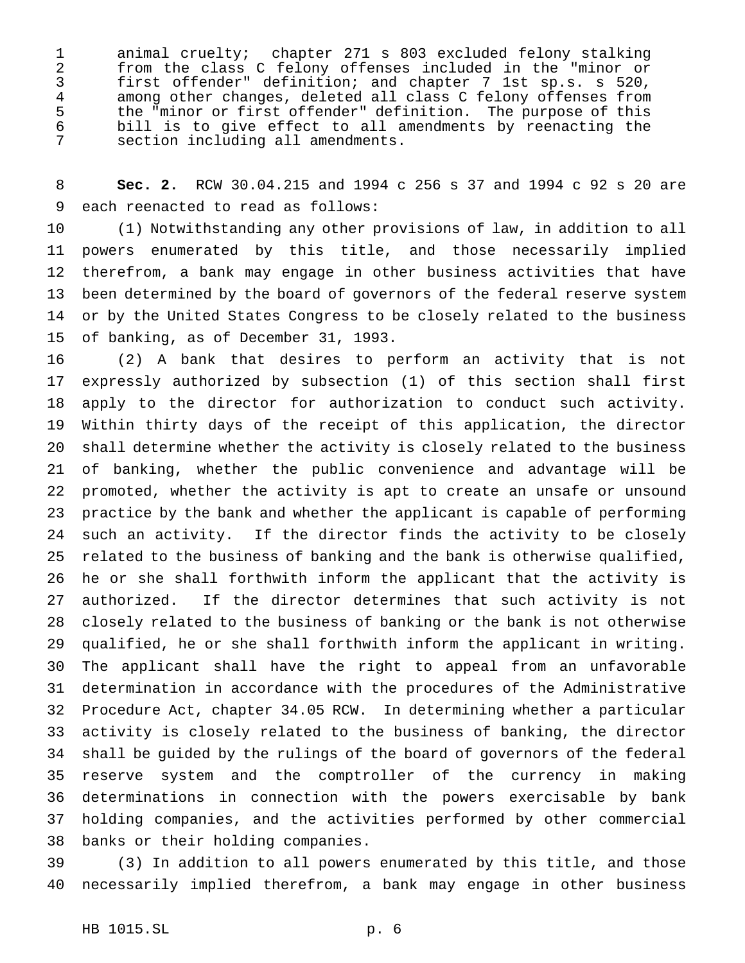animal cruelty; chapter 271 s 803 excluded felony stalking 2 from the class C felony offenses included in the "minor or<br>3 first offender" definition; and chapter 7 lst sp.s. s 520, first offender" definition; and chapter 7 1st sp.s. s 520, 4 among other changes, deleted all class C felony offenses from<br>5 the "minor or first offender" definition. The purpose of this 5 the "minor or first offender" definition. The purpose of this<br>6 bill is to give effect to all amendments by reenacting the bill is to give effect to all amendments by reenacting the section including all amendments.

 **Sec. 2.** RCW 30.04.215 and 1994 c 256 s 37 and 1994 c 92 s 20 are each reenacted to read as follows:

 (1) Notwithstanding any other provisions of law, in addition to all powers enumerated by this title, and those necessarily implied therefrom, a bank may engage in other business activities that have been determined by the board of governors of the federal reserve system or by the United States Congress to be closely related to the business of banking, as of December 31, 1993.

 (2) A bank that desires to perform an activity that is not expressly authorized by subsection (1) of this section shall first apply to the director for authorization to conduct such activity. Within thirty days of the receipt of this application, the director shall determine whether the activity is closely related to the business of banking, whether the public convenience and advantage will be promoted, whether the activity is apt to create an unsafe or unsound practice by the bank and whether the applicant is capable of performing such an activity. If the director finds the activity to be closely related to the business of banking and the bank is otherwise qualified, he or she shall forthwith inform the applicant that the activity is authorized. If the director determines that such activity is not closely related to the business of banking or the bank is not otherwise qualified, he or she shall forthwith inform the applicant in writing. The applicant shall have the right to appeal from an unfavorable determination in accordance with the procedures of the Administrative Procedure Act, chapter 34.05 RCW. In determining whether a particular activity is closely related to the business of banking, the director shall be guided by the rulings of the board of governors of the federal reserve system and the comptroller of the currency in making determinations in connection with the powers exercisable by bank holding companies, and the activities performed by other commercial banks or their holding companies.

 (3) In addition to all powers enumerated by this title, and those necessarily implied therefrom, a bank may engage in other business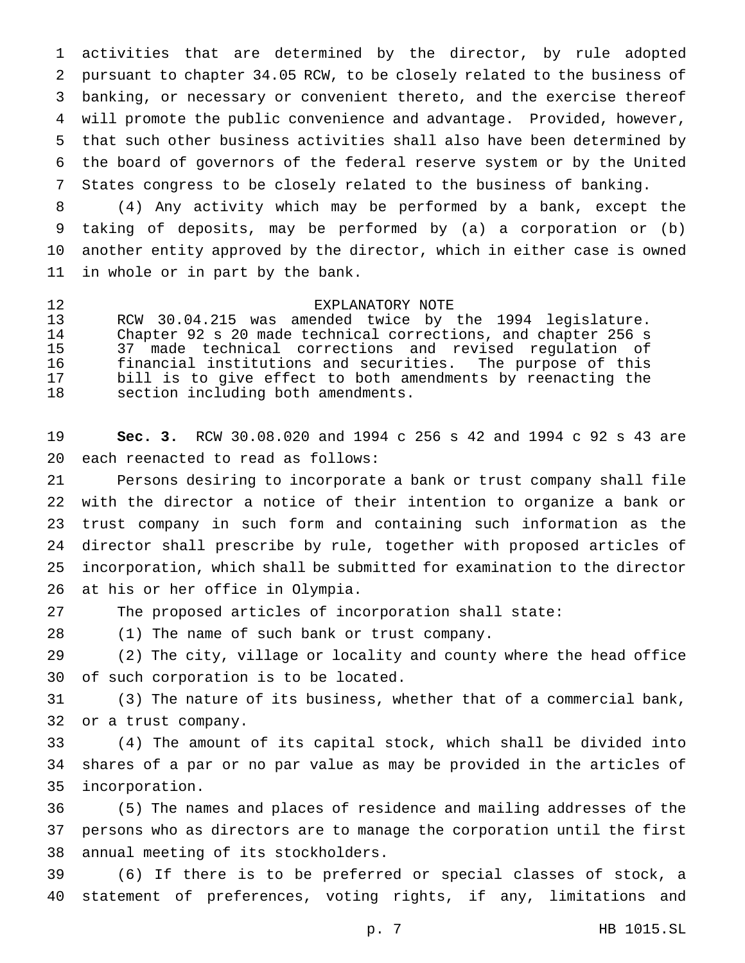activities that are determined by the director, by rule adopted pursuant to chapter 34.05 RCW, to be closely related to the business of banking, or necessary or convenient thereto, and the exercise thereof will promote the public convenience and advantage. Provided, however, that such other business activities shall also have been determined by the board of governors of the federal reserve system or by the United States congress to be closely related to the business of banking.

 (4) Any activity which may be performed by a bank, except the taking of deposits, may be performed by (a) a corporation or (b) another entity approved by the director, which in either case is owned in whole or in part by the bank.

12 EXPLANATORY NOTE<br>13 RCW 30.04.215 was amended twice by RCW 30.04.215 was amended twice by the 1994 legislature. Chapter 92 s 20 made technical corrections, and chapter 256 s 37 made technical corrections and revised regulation of financial institutions and securities. The purpose of this bill is to give effect to both amendments by reenacting the section including both amendments.

 **Sec. 3.** RCW 30.08.020 and 1994 c 256 s 42 and 1994 c 92 s 43 are each reenacted to read as follows:

 Persons desiring to incorporate a bank or trust company shall file with the director a notice of their intention to organize a bank or trust company in such form and containing such information as the director shall prescribe by rule, together with proposed articles of incorporation, which shall be submitted for examination to the director at his or her office in Olympia.

The proposed articles of incorporation shall state:

(1) The name of such bank or trust company.

 (2) The city, village or locality and county where the head office of such corporation is to be located.

 (3) The nature of its business, whether that of a commercial bank, or a trust company.

 (4) The amount of its capital stock, which shall be divided into shares of a par or no par value as may be provided in the articles of incorporation.

 (5) The names and places of residence and mailing addresses of the persons who as directors are to manage the corporation until the first annual meeting of its stockholders.

 (6) If there is to be preferred or special classes of stock, a statement of preferences, voting rights, if any, limitations and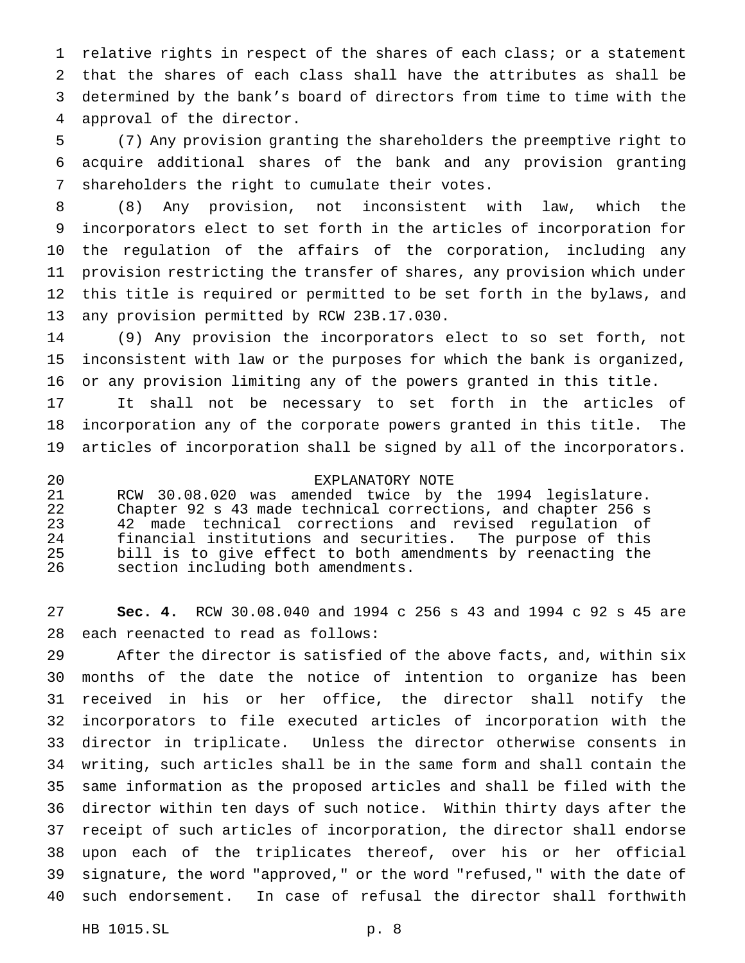relative rights in respect of the shares of each class; or a statement that the shares of each class shall have the attributes as shall be determined by the bank's board of directors from time to time with the approval of the director.

 (7) Any provision granting the shareholders the preemptive right to acquire additional shares of the bank and any provision granting shareholders the right to cumulate their votes.

 (8) Any provision, not inconsistent with law, which the incorporators elect to set forth in the articles of incorporation for the regulation of the affairs of the corporation, including any provision restricting the transfer of shares, any provision which under this title is required or permitted to be set forth in the bylaws, and any provision permitted by RCW 23B.17.030.

 (9) Any provision the incorporators elect to so set forth, not inconsistent with law or the purposes for which the bank is organized, or any provision limiting any of the powers granted in this title.

 It shall not be necessary to set forth in the articles of incorporation any of the corporate powers granted in this title. The articles of incorporation shall be signed by all of the incorporators.

 EXPLANATORY NOTE RCW 30.08.020 was amended twice by the 1994 legislature. Chapter 92 s 43 made technical corrections, and chapter 256 s 42 made technical corrections and revised regulation of financial institutions and securities. The purpose of this bill is to give effect to both amendments by reenacting the section including both amendments.

 **Sec. 4.** RCW 30.08.040 and 1994 c 256 s 43 and 1994 c 92 s 45 are each reenacted to read as follows:

 After the director is satisfied of the above facts, and, within six months of the date the notice of intention to organize has been received in his or her office, the director shall notify the incorporators to file executed articles of incorporation with the director in triplicate. Unless the director otherwise consents in writing, such articles shall be in the same form and shall contain the same information as the proposed articles and shall be filed with the director within ten days of such notice. Within thirty days after the receipt of such articles of incorporation, the director shall endorse upon each of the triplicates thereof, over his or her official signature, the word "approved," or the word "refused," with the date of such endorsement. In case of refusal the director shall forthwith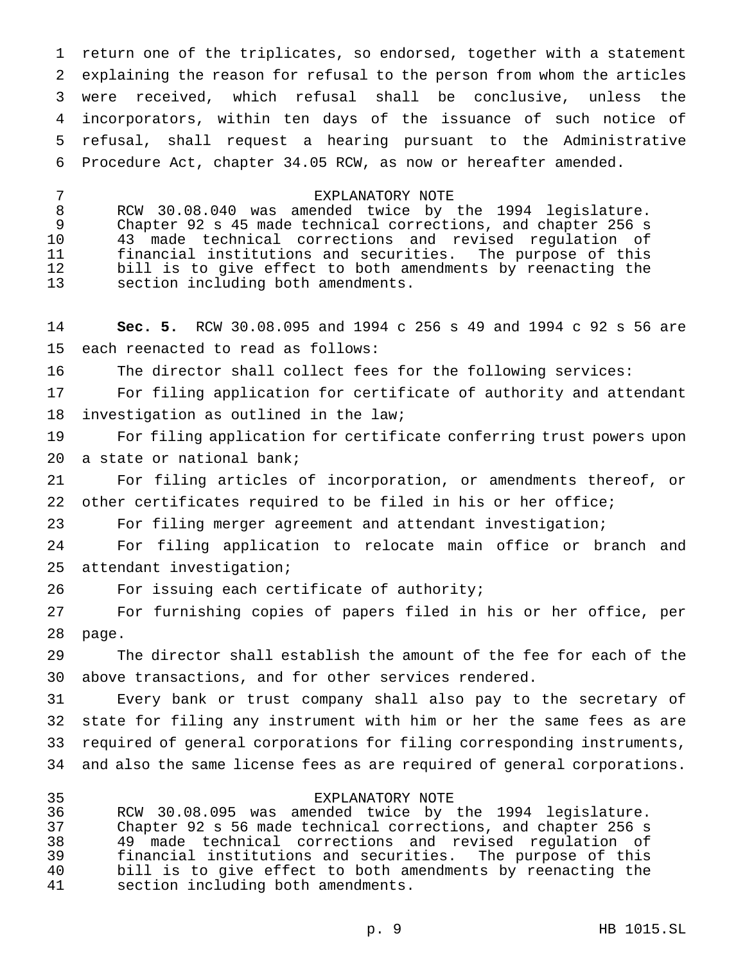return one of the triplicates, so endorsed, together with a statement explaining the reason for refusal to the person from whom the articles were received, which refusal shall be conclusive, unless the incorporators, within ten days of the issuance of such notice of refusal, shall request a hearing pursuant to the Administrative Procedure Act, chapter 34.05 RCW, as now or hereafter amended.

 EXPLANATORY NOTE RCW 30.08.040 was amended twice by the 1994 legislature. Chapter 92 s 45 made technical corrections, and chapter 256 s 43 made technical corrections and revised regulation of financial institutions and securities. The purpose of this bill is to give effect to both amendments by reenacting the section including both amendments.

 **Sec. 5.** RCW 30.08.095 and 1994 c 256 s 49 and 1994 c 92 s 56 are each reenacted to read as follows:

The director shall collect fees for the following services:

 For filing application for certificate of authority and attendant investigation as outlined in the law;

 For filing application for certificate conferring trust powers upon a state or national bank;

 For filing articles of incorporation, or amendments thereof, or other certificates required to be filed in his or her office;

For filing merger agreement and attendant investigation;

 For filing application to relocate main office or branch and attendant investigation;

For issuing each certificate of authority;

 For furnishing copies of papers filed in his or her office, per page.

 The director shall establish the amount of the fee for each of the above transactions, and for other services rendered.

 Every bank or trust company shall also pay to the secretary of state for filing any instrument with him or her the same fees as are required of general corporations for filing corresponding instruments, and also the same license fees as are required of general corporations.

 EXPLANATORY NOTE RCW 30.08.095 was amended twice by the 1994 legislature. Chapter 92 s 56 made technical corrections, and chapter 256 s 49 made technical corrections and revised regulation of financial institutions and securities. The purpose of this bill is to give effect to both amendments by reenacting the section including both amendments.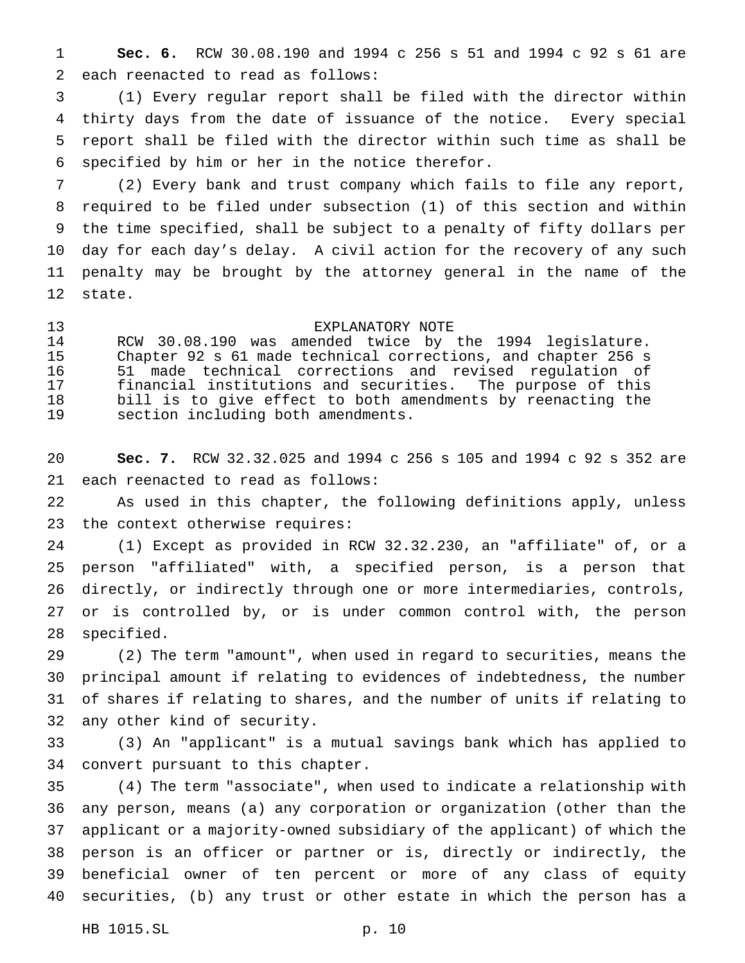**Sec. 6.** RCW 30.08.190 and 1994 c 256 s 51 and 1994 c 92 s 61 are each reenacted to read as follows:

 (1) Every regular report shall be filed with the director within thirty days from the date of issuance of the notice. Every special report shall be filed with the director within such time as shall be specified by him or her in the notice therefor.

 (2) Every bank and trust company which fails to file any report, required to be filed under subsection (1) of this section and within the time specified, shall be subject to a penalty of fifty dollars per day for each day's delay. A civil action for the recovery of any such penalty may be brought by the attorney general in the name of the state.

#### EXPLANATORY NOTE

 RCW 30.08.190 was amended twice by the 1994 legislature. Chapter 92 s 61 made technical corrections, and chapter 256 s 51 made technical corrections and revised regulation of financial institutions and securities. The purpose of this bill is to give effect to both amendments by reenacting the section including both amendments.

 **Sec. 7.** RCW 32.32.025 and 1994 c 256 s 105 and 1994 c 92 s 352 are each reenacted to read as follows:

 As used in this chapter, the following definitions apply, unless the context otherwise requires:

 (1) Except as provided in RCW 32.32.230, an "affiliate" of, or a person "affiliated" with, a specified person, is a person that directly, or indirectly through one or more intermediaries, controls, or is controlled by, or is under common control with, the person specified.

 (2) The term "amount", when used in regard to securities, means the principal amount if relating to evidences of indebtedness, the number of shares if relating to shares, and the number of units if relating to any other kind of security.

 (3) An "applicant" is a mutual savings bank which has applied to convert pursuant to this chapter.

 (4) The term "associate", when used to indicate a relationship with any person, means (a) any corporation or organization (other than the applicant or a majority-owned subsidiary of the applicant) of which the person is an officer or partner or is, directly or indirectly, the beneficial owner of ten percent or more of any class of equity securities, (b) any trust or other estate in which the person has a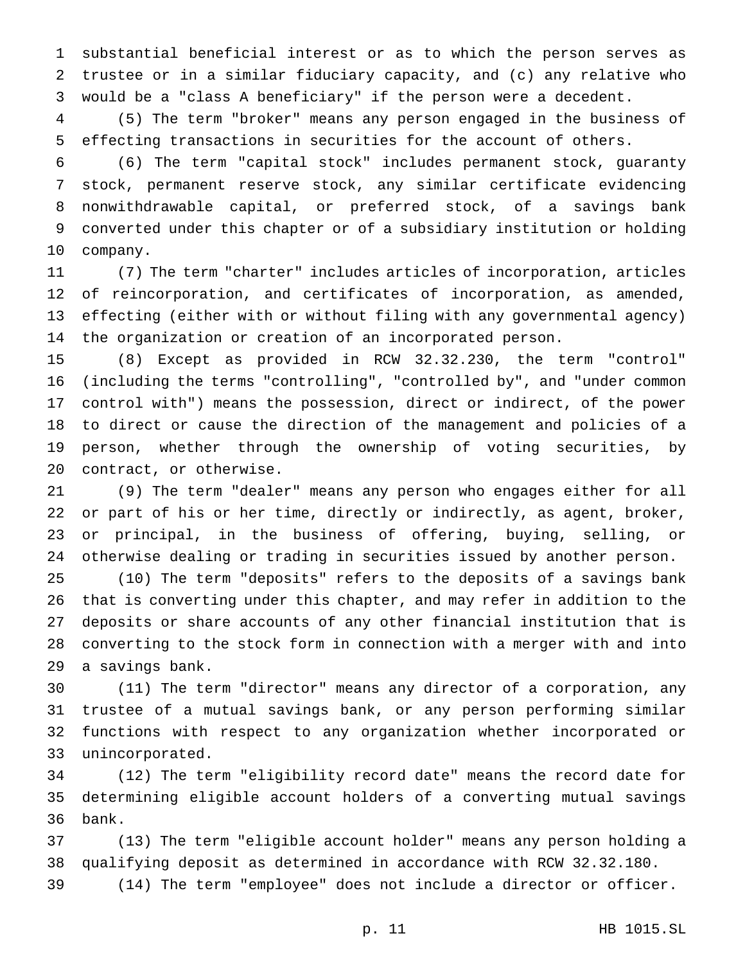substantial beneficial interest or as to which the person serves as trustee or in a similar fiduciary capacity, and (c) any relative who would be a "class A beneficiary" if the person were a decedent.

 (5) The term "broker" means any person engaged in the business of effecting transactions in securities for the account of others.

 (6) The term "capital stock" includes permanent stock, guaranty stock, permanent reserve stock, any similar certificate evidencing nonwithdrawable capital, or preferred stock, of a savings bank converted under this chapter or of a subsidiary institution or holding company.

 (7) The term "charter" includes articles of incorporation, articles of reincorporation, and certificates of incorporation, as amended, effecting (either with or without filing with any governmental agency) the organization or creation of an incorporated person.

 (8) Except as provided in RCW 32.32.230, the term "control" (including the terms "controlling", "controlled by", and "under common control with") means the possession, direct or indirect, of the power to direct or cause the direction of the management and policies of a person, whether through the ownership of voting securities, by contract, or otherwise.

 (9) The term "dealer" means any person who engages either for all or part of his or her time, directly or indirectly, as agent, broker, or principal, in the business of offering, buying, selling, or otherwise dealing or trading in securities issued by another person.

 (10) The term "deposits" refers to the deposits of a savings bank that is converting under this chapter, and may refer in addition to the deposits or share accounts of any other financial institution that is converting to the stock form in connection with a merger with and into a savings bank.

 (11) The term "director" means any director of a corporation, any trustee of a mutual savings bank, or any person performing similar functions with respect to any organization whether incorporated or unincorporated.

 (12) The term "eligibility record date" means the record date for determining eligible account holders of a converting mutual savings bank.

 (13) The term "eligible account holder" means any person holding a qualifying deposit as determined in accordance with RCW 32.32.180.

(14) The term "employee" does not include a director or officer.

p. 11 HB 1015.SL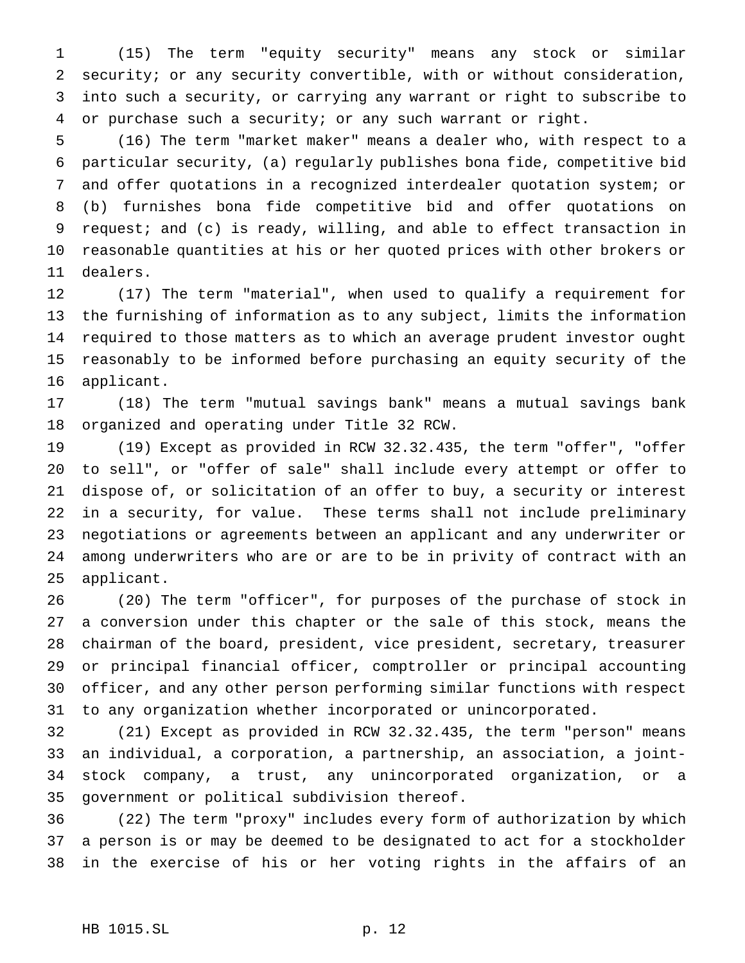(15) The term "equity security" means any stock or similar security; or any security convertible, with or without consideration, into such a security, or carrying any warrant or right to subscribe to or purchase such a security; or any such warrant or right.

 (16) The term "market maker" means a dealer who, with respect to a particular security, (a) regularly publishes bona fide, competitive bid and offer quotations in a recognized interdealer quotation system; or (b) furnishes bona fide competitive bid and offer quotations on request; and (c) is ready, willing, and able to effect transaction in reasonable quantities at his or her quoted prices with other brokers or dealers.

 (17) The term "material", when used to qualify a requirement for the furnishing of information as to any subject, limits the information required to those matters as to which an average prudent investor ought reasonably to be informed before purchasing an equity security of the applicant.

 (18) The term "mutual savings bank" means a mutual savings bank organized and operating under Title 32 RCW.

 (19) Except as provided in RCW 32.32.435, the term "offer", "offer to sell", or "offer of sale" shall include every attempt or offer to dispose of, or solicitation of an offer to buy, a security or interest in a security, for value. These terms shall not include preliminary negotiations or agreements between an applicant and any underwriter or among underwriters who are or are to be in privity of contract with an applicant.

 (20) The term "officer", for purposes of the purchase of stock in a conversion under this chapter or the sale of this stock, means the chairman of the board, president, vice president, secretary, treasurer or principal financial officer, comptroller or principal accounting officer, and any other person performing similar functions with respect to any organization whether incorporated or unincorporated.

 (21) Except as provided in RCW 32.32.435, the term "person" means an individual, a corporation, a partnership, an association, a joint- stock company, a trust, any unincorporated organization, or a government or political subdivision thereof.

 (22) The term "proxy" includes every form of authorization by which a person is or may be deemed to be designated to act for a stockholder in the exercise of his or her voting rights in the affairs of an

## HB 1015.SL p. 12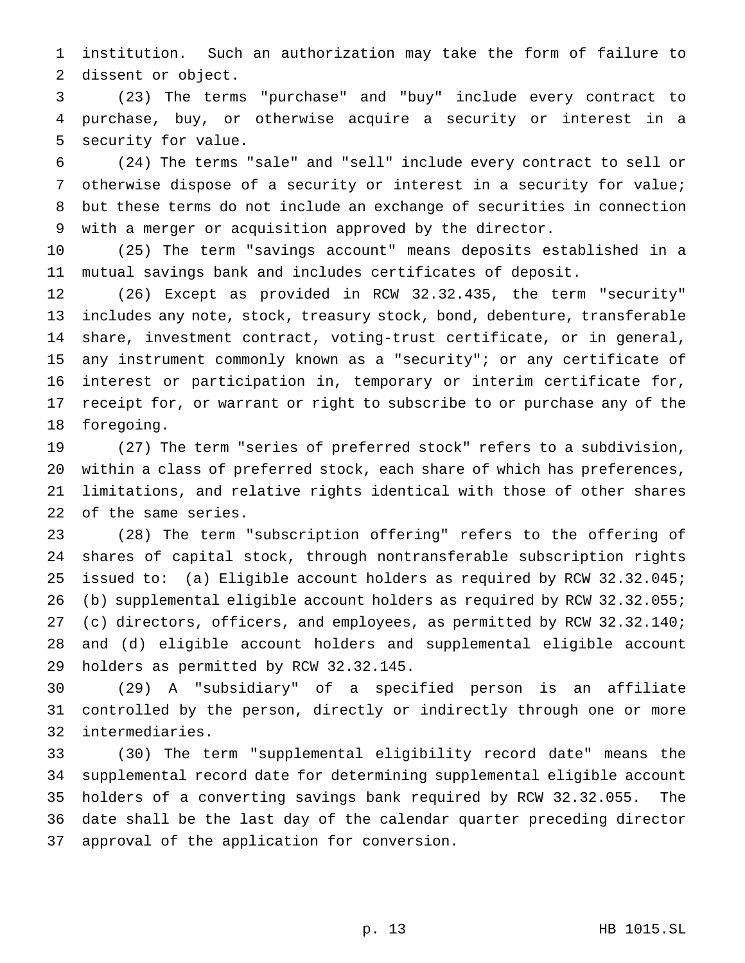institution. Such an authorization may take the form of failure to dissent or object.

 (23) The terms "purchase" and "buy" include every contract to purchase, buy, or otherwise acquire a security or interest in a security for value.

 (24) The terms "sale" and "sell" include every contract to sell or otherwise dispose of a security or interest in a security for value; but these terms do not include an exchange of securities in connection with a merger or acquisition approved by the director.

 (25) The term "savings account" means deposits established in a mutual savings bank and includes certificates of deposit.

 (26) Except as provided in RCW 32.32.435, the term "security" includes any note, stock, treasury stock, bond, debenture, transferable share, investment contract, voting-trust certificate, or in general, any instrument commonly known as a "security"; or any certificate of interest or participation in, temporary or interim certificate for, receipt for, or warrant or right to subscribe to or purchase any of the foregoing.

 (27) The term "series of preferred stock" refers to a subdivision, within a class of preferred stock, each share of which has preferences, limitations, and relative rights identical with those of other shares of the same series.

 (28) The term "subscription offering" refers to the offering of shares of capital stock, through nontransferable subscription rights issued to: (a) Eligible account holders as required by RCW 32.32.045; (b) supplemental eligible account holders as required by RCW 32.32.055; (c) directors, officers, and employees, as permitted by RCW 32.32.140; and (d) eligible account holders and supplemental eligible account holders as permitted by RCW 32.32.145.

 (29) A "subsidiary" of a specified person is an affiliate controlled by the person, directly or indirectly through one or more intermediaries.

 (30) The term "supplemental eligibility record date" means the supplemental record date for determining supplemental eligible account holders of a converting savings bank required by RCW 32.32.055. The date shall be the last day of the calendar quarter preceding director approval of the application for conversion.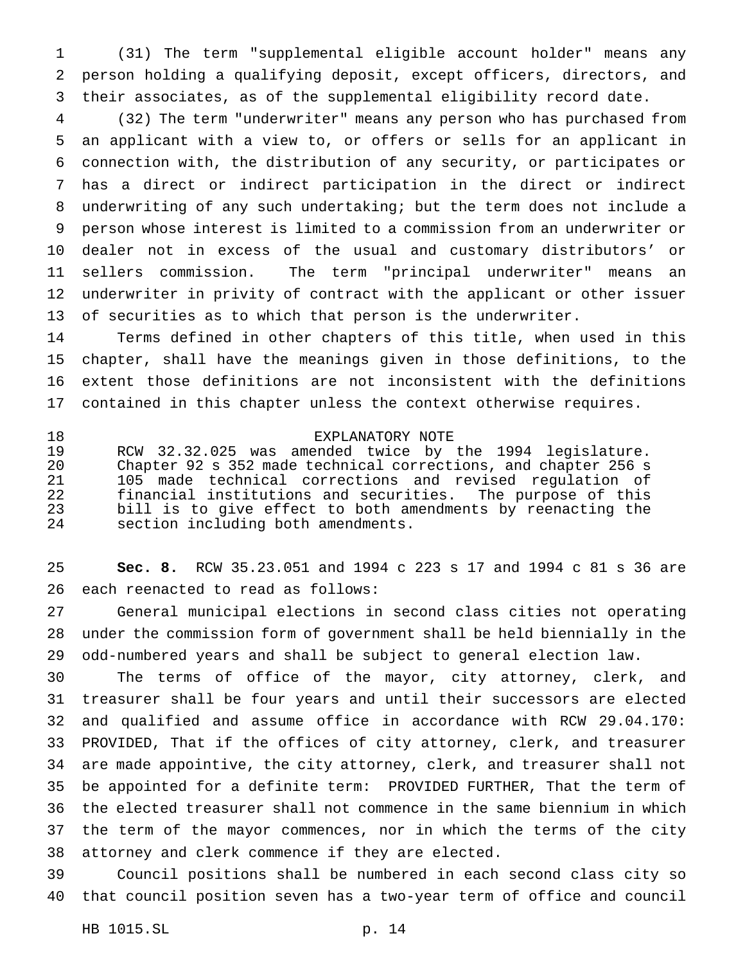(31) The term "supplemental eligible account holder" means any person holding a qualifying deposit, except officers, directors, and their associates, as of the supplemental eligibility record date.

 (32) The term "underwriter" means any person who has purchased from an applicant with a view to, or offers or sells for an applicant in connection with, the distribution of any security, or participates or has a direct or indirect participation in the direct or indirect underwriting of any such undertaking; but the term does not include a person whose interest is limited to a commission from an underwriter or dealer not in excess of the usual and customary distributors' or sellers commission. The term "principal underwriter" means an underwriter in privity of contract with the applicant or other issuer of securities as to which that person is the underwriter.

 Terms defined in other chapters of this title, when used in this chapter, shall have the meanings given in those definitions, to the extent those definitions are not inconsistent with the definitions contained in this chapter unless the context otherwise requires.

 EXPLANATORY NOTE RCW 32.32.025 was amended twice by the 1994 legislature. Chapter 92 s 352 made technical corrections, and chapter 256 s 105 made technical corrections and revised regulation of financial institutions and securities. The purpose of this bill is to give effect to both amendments by reenacting the section including both amendments.

 **Sec. 8.** RCW 35.23.051 and 1994 c 223 s 17 and 1994 c 81 s 36 are each reenacted to read as follows:

 General municipal elections in second class cities not operating under the commission form of government shall be held biennially in the odd-numbered years and shall be subject to general election law.

 The terms of office of the mayor, city attorney, clerk, and treasurer shall be four years and until their successors are elected and qualified and assume office in accordance with RCW 29.04.170: PROVIDED, That if the offices of city attorney, clerk, and treasurer are made appointive, the city attorney, clerk, and treasurer shall not be appointed for a definite term: PROVIDED FURTHER, That the term of the elected treasurer shall not commence in the same biennium in which the term of the mayor commences, nor in which the terms of the city attorney and clerk commence if they are elected.

 Council positions shall be numbered in each second class city so that council position seven has a two-year term of office and council

HB 1015.SL p. 14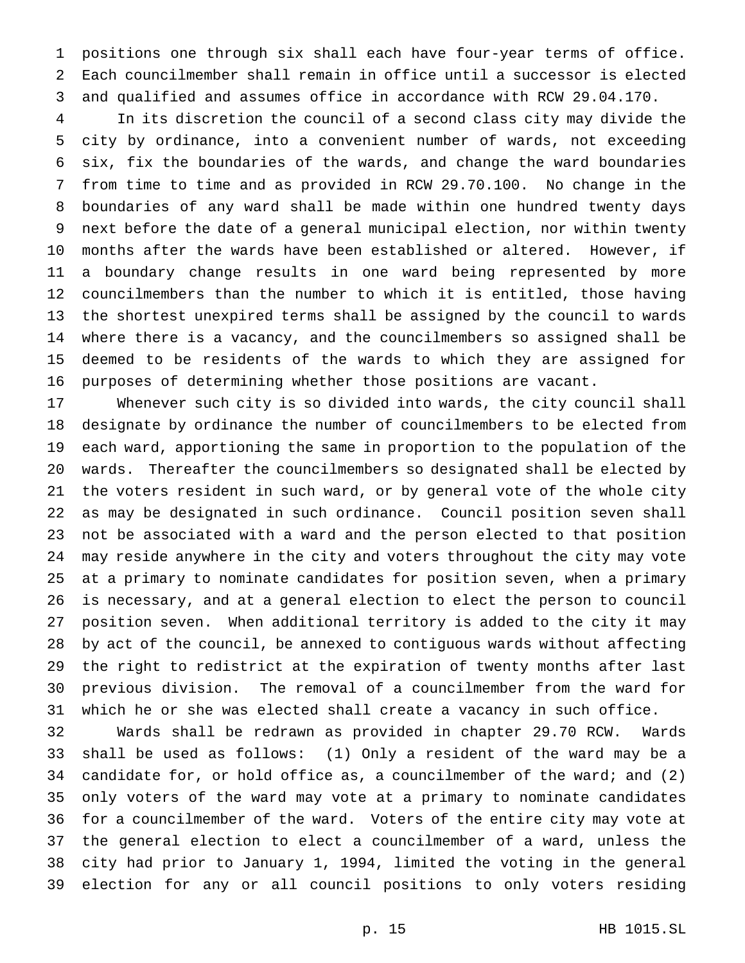positions one through six shall each have four-year terms of office. Each councilmember shall remain in office until a successor is elected and qualified and assumes office in accordance with RCW 29.04.170.

 In its discretion the council of a second class city may divide the city by ordinance, into a convenient number of wards, not exceeding six, fix the boundaries of the wards, and change the ward boundaries from time to time and as provided in RCW 29.70.100. No change in the boundaries of any ward shall be made within one hundred twenty days next before the date of a general municipal election, nor within twenty months after the wards have been established or altered. However, if a boundary change results in one ward being represented by more councilmembers than the number to which it is entitled, those having the shortest unexpired terms shall be assigned by the council to wards where there is a vacancy, and the councilmembers so assigned shall be deemed to be residents of the wards to which they are assigned for purposes of determining whether those positions are vacant.

 Whenever such city is so divided into wards, the city council shall designate by ordinance the number of councilmembers to be elected from each ward, apportioning the same in proportion to the population of the wards. Thereafter the councilmembers so designated shall be elected by the voters resident in such ward, or by general vote of the whole city as may be designated in such ordinance. Council position seven shall not be associated with a ward and the person elected to that position may reside anywhere in the city and voters throughout the city may vote at a primary to nominate candidates for position seven, when a primary is necessary, and at a general election to elect the person to council position seven. When additional territory is added to the city it may by act of the council, be annexed to contiguous wards without affecting the right to redistrict at the expiration of twenty months after last previous division. The removal of a councilmember from the ward for which he or she was elected shall create a vacancy in such office.

 Wards shall be redrawn as provided in chapter 29.70 RCW. Wards shall be used as follows: (1) Only a resident of the ward may be a candidate for, or hold office as, a councilmember of the ward; and (2) only voters of the ward may vote at a primary to nominate candidates for a councilmember of the ward. Voters of the entire city may vote at the general election to elect a councilmember of a ward, unless the city had prior to January 1, 1994, limited the voting in the general election for any or all council positions to only voters residing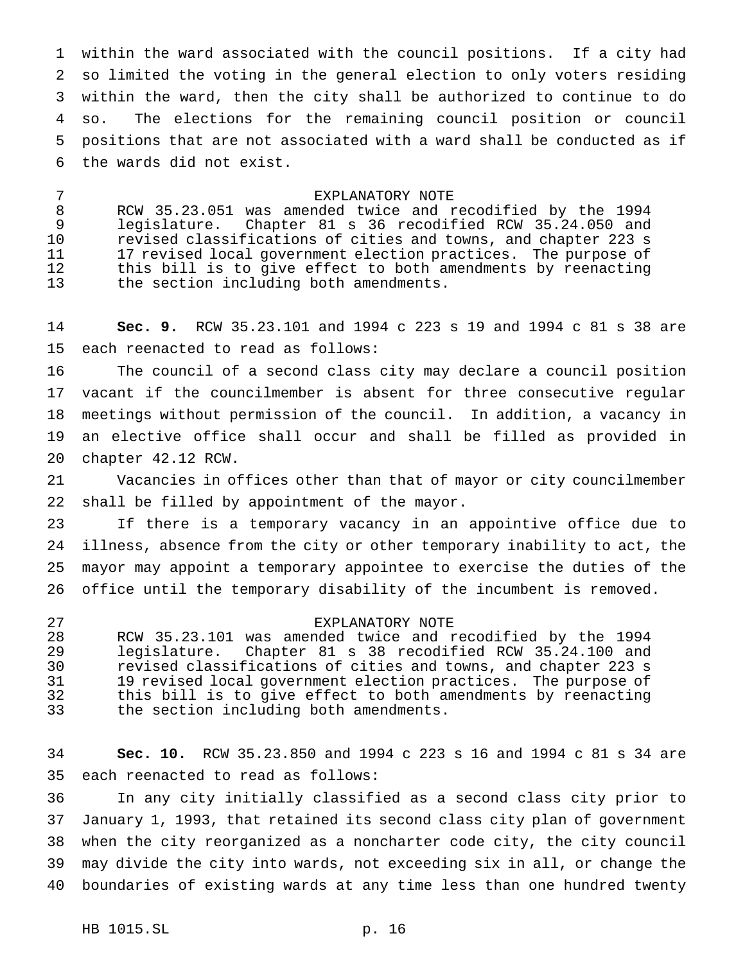within the ward associated with the council positions. If a city had so limited the voting in the general election to only voters residing within the ward, then the city shall be authorized to continue to do so. The elections for the remaining council position or council positions that are not associated with a ward shall be conducted as if the wards did not exist.

# EXPLANATORY NOTE

 RCW 35.23.051 was amended twice and recodified by the 1994 legislature. Chapter 81 s 36 recodified RCW 35.24.050 and revised classifications of cities and towns, and chapter 223 s 17 revised local government election practices. The purpose of this bill is to give effect to both amendments by reenacting the section including both amendments.

 **Sec. 9.** RCW 35.23.101 and 1994 c 223 s 19 and 1994 c 81 s 38 are each reenacted to read as follows:

 The council of a second class city may declare a council position vacant if the councilmember is absent for three consecutive regular meetings without permission of the council. In addition, a vacancy in an elective office shall occur and shall be filled as provided in chapter 42.12 RCW.

 Vacancies in offices other than that of mayor or city councilmember shall be filled by appointment of the mayor.

 If there is a temporary vacancy in an appointive office due to illness, absence from the city or other temporary inability to act, the mayor may appoint a temporary appointee to exercise the duties of the office until the temporary disability of the incumbent is removed.

# EXPLANATORY NOTE

 RCW 35.23.101 was amended twice and recodified by the 1994 legislature. Chapter 81 s 38 recodified RCW 35.24.100 and revised classifications of cities and towns, and chapter 223 s 19 revised local government election practices. The purpose of this bill is to give effect to both amendments by reenacting the section including both amendments.

 **Sec. 10.** RCW 35.23.850 and 1994 c 223 s 16 and 1994 c 81 s 34 are each reenacted to read as follows:

 In any city initially classified as a second class city prior to January 1, 1993, that retained its second class city plan of government when the city reorganized as a noncharter code city, the city council may divide the city into wards, not exceeding six in all, or change the boundaries of existing wards at any time less than one hundred twenty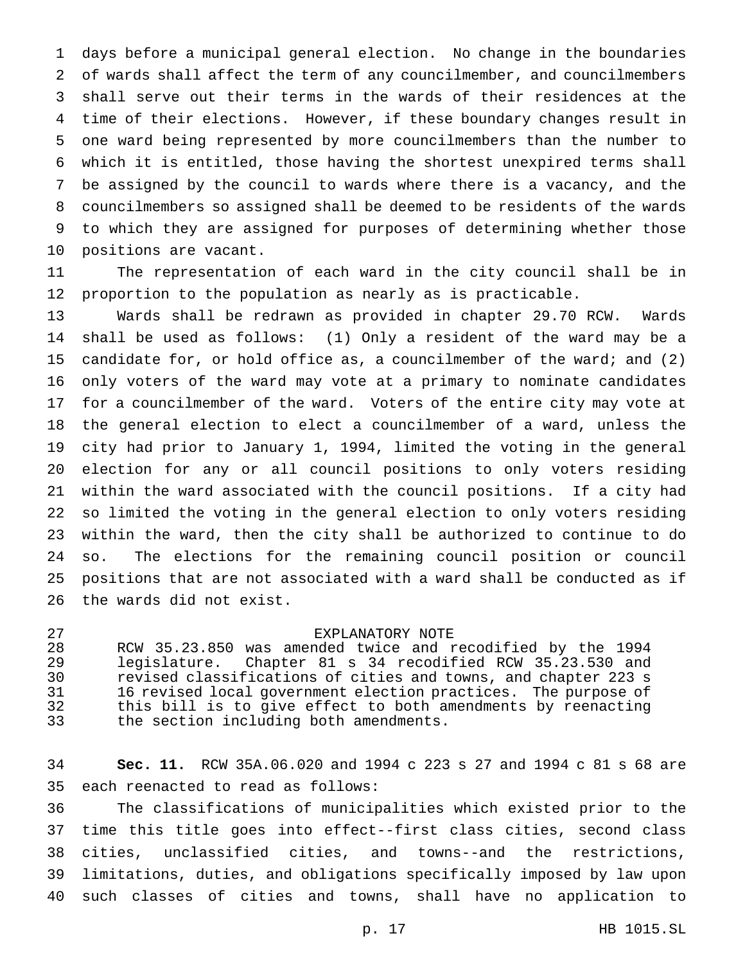days before a municipal general election. No change in the boundaries of wards shall affect the term of any councilmember, and councilmembers shall serve out their terms in the wards of their residences at the time of their elections. However, if these boundary changes result in one ward being represented by more councilmembers than the number to which it is entitled, those having the shortest unexpired terms shall be assigned by the council to wards where there is a vacancy, and the councilmembers so assigned shall be deemed to be residents of the wards to which they are assigned for purposes of determining whether those positions are vacant.

 The representation of each ward in the city council shall be in proportion to the population as nearly as is practicable.

 Wards shall be redrawn as provided in chapter 29.70 RCW. Wards shall be used as follows: (1) Only a resident of the ward may be a candidate for, or hold office as, a councilmember of the ward; and (2) only voters of the ward may vote at a primary to nominate candidates for a councilmember of the ward. Voters of the entire city may vote at the general election to elect a councilmember of a ward, unless the city had prior to January 1, 1994, limited the voting in the general election for any or all council positions to only voters residing within the ward associated with the council positions. If a city had so limited the voting in the general election to only voters residing within the ward, then the city shall be authorized to continue to do so. The elections for the remaining council position or council positions that are not associated with a ward shall be conducted as if the wards did not exist.

#### EXPLANATORY NOTE

 RCW 35.23.850 was amended twice and recodified by the 1994 legislature. Chapter 81 s 34 recodified RCW 35.23.530 and revised classifications of cities and towns, and chapter 223 s 16 revised local government election practices. The purpose of this bill is to give effect to both amendments by reenacting the section including both amendments.

 **Sec. 11.** RCW 35A.06.020 and 1994 c 223 s 27 and 1994 c 81 s 68 are each reenacted to read as follows:

 The classifications of municipalities which existed prior to the time this title goes into effect--first class cities, second class cities, unclassified cities, and towns--and the restrictions, limitations, duties, and obligations specifically imposed by law upon such classes of cities and towns, shall have no application to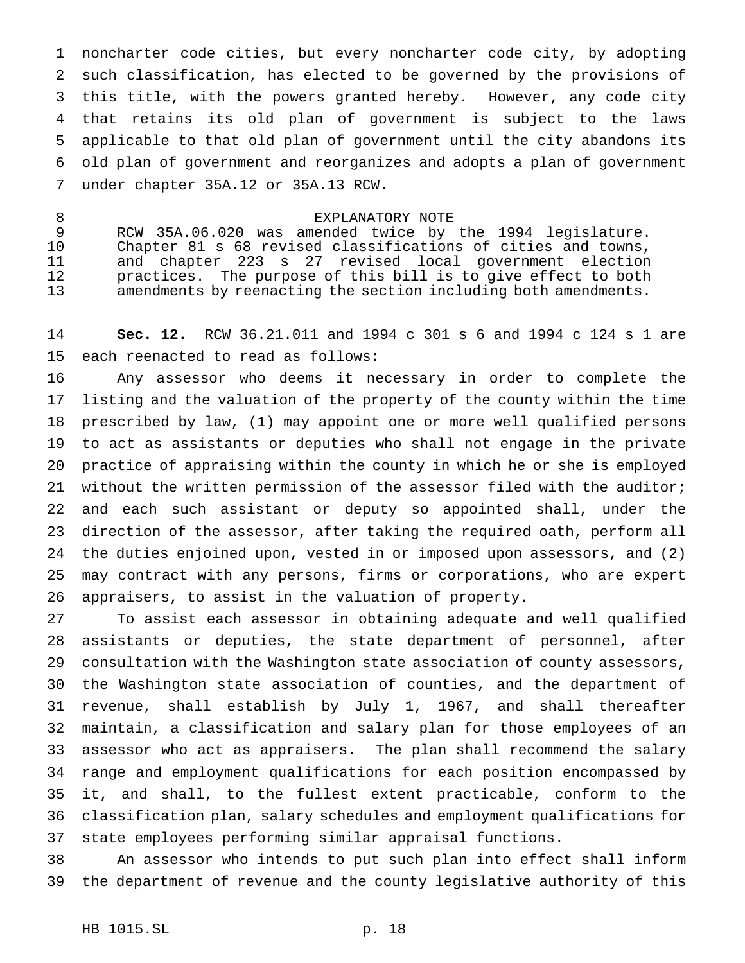noncharter code cities, but every noncharter code city, by adopting such classification, has elected to be governed by the provisions of this title, with the powers granted hereby. However, any code city that retains its old plan of government is subject to the laws applicable to that old plan of government until the city abandons its old plan of government and reorganizes and adopts a plan of government under chapter 35A.12 or 35A.13 RCW.

## 8 EXPLANATORY NOTE

 RCW 35A.06.020 was amended twice by the 1994 legislature. Chapter 81 s 68 revised classifications of cities and towns, and chapter 223 s 27 revised local government election practices. The purpose of this bill is to give effect to both amendments by reenacting the section including both amendments.

 **Sec. 12.** RCW 36.21.011 and 1994 c 301 s 6 and 1994 c 124 s 1 are each reenacted to read as follows:

 Any assessor who deems it necessary in order to complete the listing and the valuation of the property of the county within the time prescribed by law, (1) may appoint one or more well qualified persons to act as assistants or deputies who shall not engage in the private practice of appraising within the county in which he or she is employed without the written permission of the assessor filed with the auditor; and each such assistant or deputy so appointed shall, under the direction of the assessor, after taking the required oath, perform all the duties enjoined upon, vested in or imposed upon assessors, and (2) may contract with any persons, firms or corporations, who are expert appraisers, to assist in the valuation of property.

 To assist each assessor in obtaining adequate and well qualified assistants or deputies, the state department of personnel, after consultation with the Washington state association of county assessors, the Washington state association of counties, and the department of revenue, shall establish by July 1, 1967, and shall thereafter maintain, a classification and salary plan for those employees of an assessor who act as appraisers. The plan shall recommend the salary range and employment qualifications for each position encompassed by it, and shall, to the fullest extent practicable, conform to the classification plan, salary schedules and employment qualifications for state employees performing similar appraisal functions.

 An assessor who intends to put such plan into effect shall inform the department of revenue and the county legislative authority of this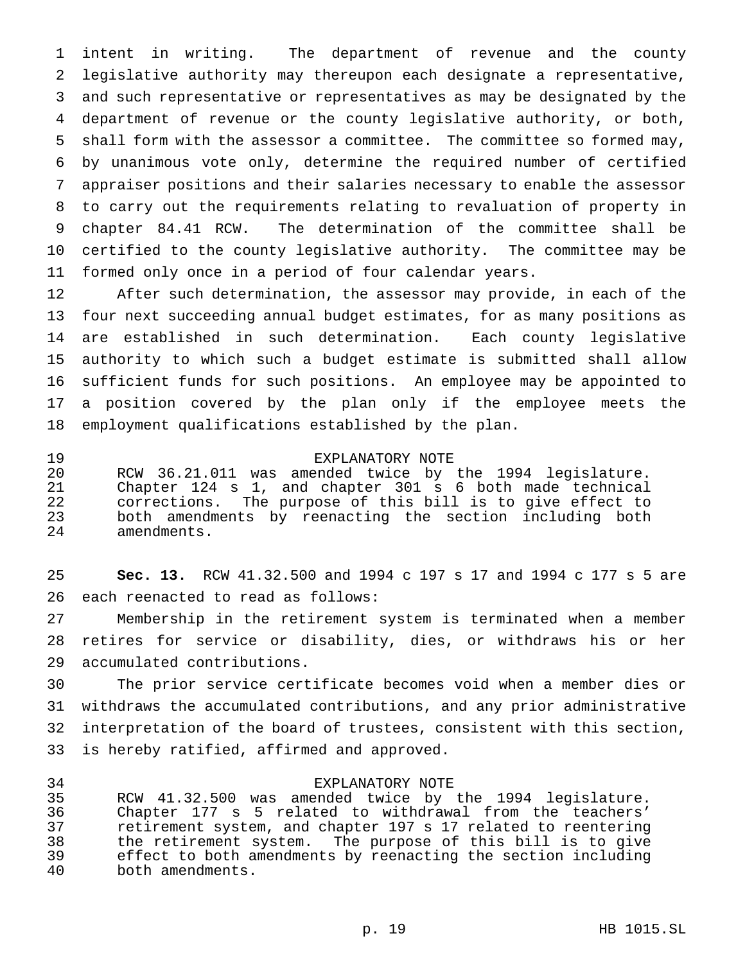intent in writing. The department of revenue and the county legislative authority may thereupon each designate a representative, and such representative or representatives as may be designated by the department of revenue or the county legislative authority, or both, shall form with the assessor a committee. The committee so formed may, by unanimous vote only, determine the required number of certified appraiser positions and their salaries necessary to enable the assessor to carry out the requirements relating to revaluation of property in chapter 84.41 RCW. The determination of the committee shall be certified to the county legislative authority. The committee may be formed only once in a period of four calendar years.

 After such determination, the assessor may provide, in each of the four next succeeding annual budget estimates, for as many positions as are established in such determination. Each county legislative authority to which such a budget estimate is submitted shall allow sufficient funds for such positions. An employee may be appointed to a position covered by the plan only if the employee meets the employment qualifications established by the plan.

## EXPLANATORY NOTE

 RCW 36.21.011 was amended twice by the 1994 legislature. Chapter 124 s 1, and chapter 301 s 6 both made technical corrections. The purpose of this bill is to give effect to both amendments by reenacting the section including both amendments.

 **Sec. 13.** RCW 41.32.500 and 1994 c 197 s 17 and 1994 c 177 s 5 are each reenacted to read as follows:

 Membership in the retirement system is terminated when a member retires for service or disability, dies, or withdraws his or her accumulated contributions.

 The prior service certificate becomes void when a member dies or withdraws the accumulated contributions, and any prior administrative interpretation of the board of trustees, consistent with this section, is hereby ratified, affirmed and approved.

#### EXPLANATORY NOTE

 RCW 41.32.500 was amended twice by the 1994 legislature. Chapter 177 s 5 related to withdrawal from the teachers' retirement system, and chapter 197 s 17 related to reentering the retirement system. The purpose of this bill is to give effect to both amendments by reenacting the section including both amendments.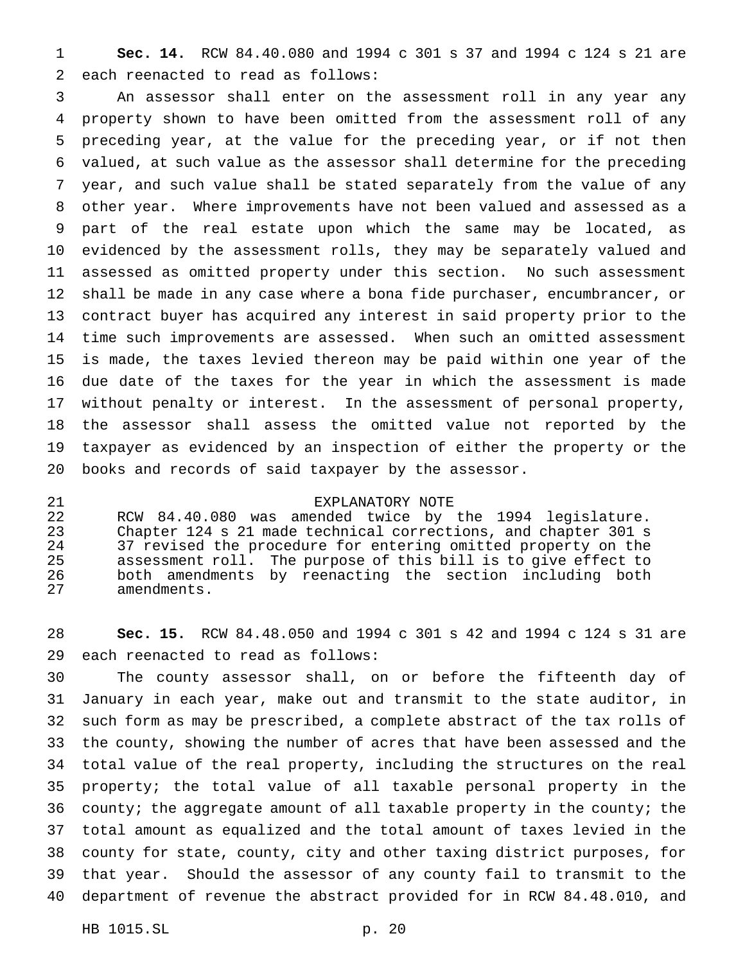**Sec. 14.** RCW 84.40.080 and 1994 c 301 s 37 and 1994 c 124 s 21 are each reenacted to read as follows:

 An assessor shall enter on the assessment roll in any year any property shown to have been omitted from the assessment roll of any preceding year, at the value for the preceding year, or if not then valued, at such value as the assessor shall determine for the preceding year, and such value shall be stated separately from the value of any other year. Where improvements have not been valued and assessed as a part of the real estate upon which the same may be located, as evidenced by the assessment rolls, they may be separately valued and assessed as omitted property under this section. No such assessment shall be made in any case where a bona fide purchaser, encumbrancer, or contract buyer has acquired any interest in said property prior to the time such improvements are assessed. When such an omitted assessment is made, the taxes levied thereon may be paid within one year of the due date of the taxes for the year in which the assessment is made without penalty or interest. In the assessment of personal property, the assessor shall assess the omitted value not reported by the taxpayer as evidenced by an inspection of either the property or the books and records of said taxpayer by the assessor.

EXPLANATORY NOTE

 RCW 84.40.080 was amended twice by the 1994 legislature. Chapter 124 s 21 made technical corrections, and chapter 301 s 24 37 revised the procedure for entering omitted property on the<br>25 assessment roll. The purpose of this bill is to give effect to assessment roll. The purpose of this bill is to give effect to both amendments by reenacting the section including both amendments.

 **Sec. 15.** RCW 84.48.050 and 1994 c 301 s 42 and 1994 c 124 s 31 are each reenacted to read as follows:

 The county assessor shall, on or before the fifteenth day of January in each year, make out and transmit to the state auditor, in such form as may be prescribed, a complete abstract of the tax rolls of the county, showing the number of acres that have been assessed and the total value of the real property, including the structures on the real property; the total value of all taxable personal property in the county; the aggregate amount of all taxable property in the county; the total amount as equalized and the total amount of taxes levied in the county for state, county, city and other taxing district purposes, for that year. Should the assessor of any county fail to transmit to the department of revenue the abstract provided for in RCW 84.48.010, and